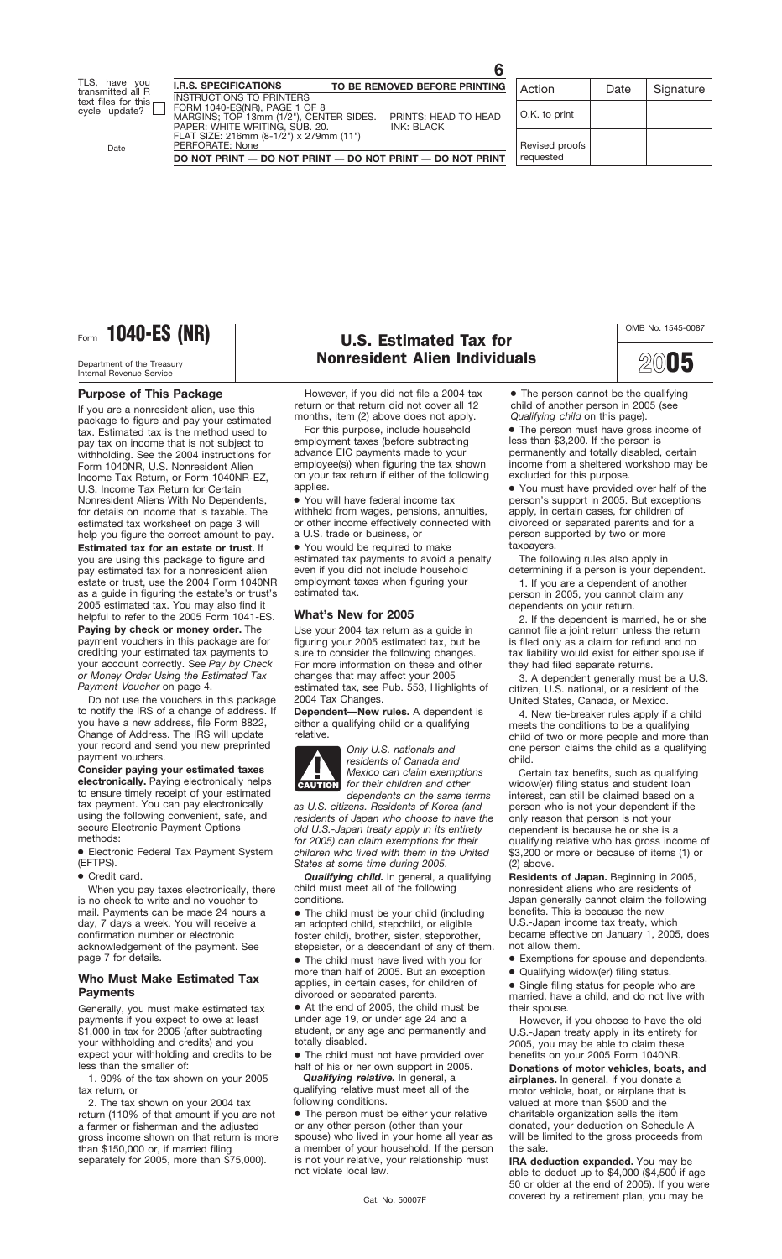Form **1040-ES (NR)** U.S. Estimated Tax for

Internal Revenue Service

#### **Purpose of This Package**

If you are a nonresident alien, use this package to figure and pay your estimated tax. Estimated tax is the method used to pay tax on income that is not subject to withholding. See the 2004 instructions for Form 1040NR, U.S. Nonresident Alien Income Tax Return, or Form 1040NR-EZ, U.S. Income Tax Return for Certain Nonresident Aliens With No Dependents, for details on income that is taxable. The estimated tax worksheet on page 3 will help you figure the correct amount to pay.

**Estimated tax for an estate or trust.** If you are using this package to figure and pay estimated tax for a nonresident alien estate or trust, use the 2004 Form 1040NR as a guide in figuring the estate's or trust's 2005 estimated tax. You may also find it helpful to refer to the 2005 Form 1041-ES.

**Paying by check or money order.** The payment vouchers in this package are for crediting your estimated tax payments to your account correctly. See *Pay by Check or Money Order Using the Estimated Tax Payment Voucher* on page 4.

Do not use the vouchers in this package to notify the IRS of a change of address. If you have a new address, file Form 8822, Change of Address. The IRS will update your record and send you new preprinted payment vouchers.

**Consider paying your estimated taxes electronically.** Paying electronically helps to ensure timely receipt of your estimated tax payment. You can pay electronically using the following convenient, safe, and secure Electronic Payment Options methods:

● Electronic Federal Tax Payment System (EFTPS).

● Credit card.

When you pay taxes electronically, there is no check to write and no voucher to mail. Payments can be made 24 hours a day, 7 days a week. You will receive a confirmation number or electronic acknowledgement of the payment. See page 7 for details.

#### **Who Must Make Estimated Tax Payments**

Generally, you must make estimated tax payments if you expect to owe at least \$1,000 in tax for 2005 (after subtracting your withholding and credits) and you expect your withholding and credits to be less than the smaller of:

1. 90% of the tax shown on your 2005 tax return, or

2. The tax shown on your 2004 tax return (110% of that amount if you are not a farmer or fisherman and the adjusted gross income shown on that return is more than \$150,000 or, if married filing separately for 2005, more than \$75,000).

## Department of the Treasury **Nonresident Alien Individuals**

However, if you did not file a 2004 tax return or that return did not cover all 12 months, item (2) above does not apply.

For this purpose, include household employment taxes (before subtracting advance EIC payments made to your employee(s)) when figuring the tax shown on your tax return if either of the following applies.

● You will have federal income tax withheld from wages, pensions, annuities, or other income effectively connected with a U.S. trade or business, or

● You would be required to make estimated tax payments to avoid a penalty even if you did not include household employment taxes when figuring your estimated tax.

#### **What's New for 2005**

Use your 2004 tax return as a guide in figuring your 2005 estimated tax, but be sure to consider the following changes. For more information on these and other changes that may affect your 2005 estimated tax, see Pub. 553, Highlights of 2004 Tax Changes.

**Dependent—New rules.** A dependent is either a qualifying child or a qualifying relative.



*Only U.S. nationals and residents of Canada and Mexico can claim exemptions for their children and other dependents on the same terms*

*as U.S. citizens. Residents of Korea (and residents of Japan who choose to have the old U.S.-Japan treaty apply in its entirety for 2005) can claim exemptions for their children who lived with them in the United States at some time during 2005.*

*Qualifying child.* In general, a qualifying child must meet all of the following conditions.

• The child must be your child (including an adopted child, stepchild, or eligible foster child), brother, sister, stepbrother, stepsister, or a descendant of any of them. ● The child must have lived with you for more than half of 2005. But an exception applies, in certain cases, for children of divorced or separated parents.

● At the end of 2005, the child must be under age 19, or under age 24 and a student, or any age and permanently and totally disabled.

● The child must not have provided over half of his or her own support in 2005.

*Qualifying relative.* In general, a qualifying relative must meet all of the following conditions.

● The person must be either your relative or any other person (other than your spouse) who lived in your home all year as a member of your household. If the person is not your relative, your relationship must not violate local law.

● The person must have gross income of less than \$3,200. If the person is permanently and totally disabled, certain income from a sheltered workshop may be excluded for this purpose.

● You must have provided over half of the person's support in 2005. But exceptions apply, in certain cases, for children of divorced or separated parents and for a person supported by two or more taxpayers.

The following rules also apply in determining if a person is your dependent.

1. If you are a dependent of another person in 2005, you cannot claim any dependents on your return.

2. If the dependent is married, he or she cannot file a joint return unless the return is filed only as a claim for refund and no tax liability would exist for either spouse if they had filed separate returns.

3. A dependent generally must be a U.S. citizen, U.S. national, or a resident of the United States, Canada, or Mexico.

4. New tie-breaker rules apply if a child meets the conditions to be a qualifying child of two or more people and more than one person claims the child as a qualifying child.

Certain tax benefits, such as qualifying widow(er) filing status and student loan interest, can still be claimed based on a person who is not your dependent if the only reason that person is not your dependent is because he or she is a qualifying relative who has gross income of \$3,200 or more or because of items (1) or (2) above.

**Residents of Japan.** Beginning in 2005, nonresident aliens who are residents of Japan generally cannot claim the following benefits. This is because the new U.S.-Japan income tax treaty, which became effective on January 1, 2005, does not allow them.

● Exemptions for spouse and dependents.

● Qualifying widow(er) filing status.

● Single filing status for people who are married, have a child, and do not live with their spouse.

However, if you choose to have the old U.S.-Japan treaty apply in its entirety for 2005, you may be able to claim these benefits on your 2005 Form 1040NR.

**Donations of motor vehicles, boats, and airplanes.** In general, if you donate a motor vehicle, boat, or airplane that is valued at more than \$500 and the charitable organization sells the item donated, your deduction on Schedule A will be limited to the gross proceeds from the sale.

**IRA deduction expanded.** You may be able to deduct up to \$4,000 (\$4,500 if age 50 or older at the end of 2005). If you were covered by a retirement plan, you may be Cat. No. 50007F

**2005**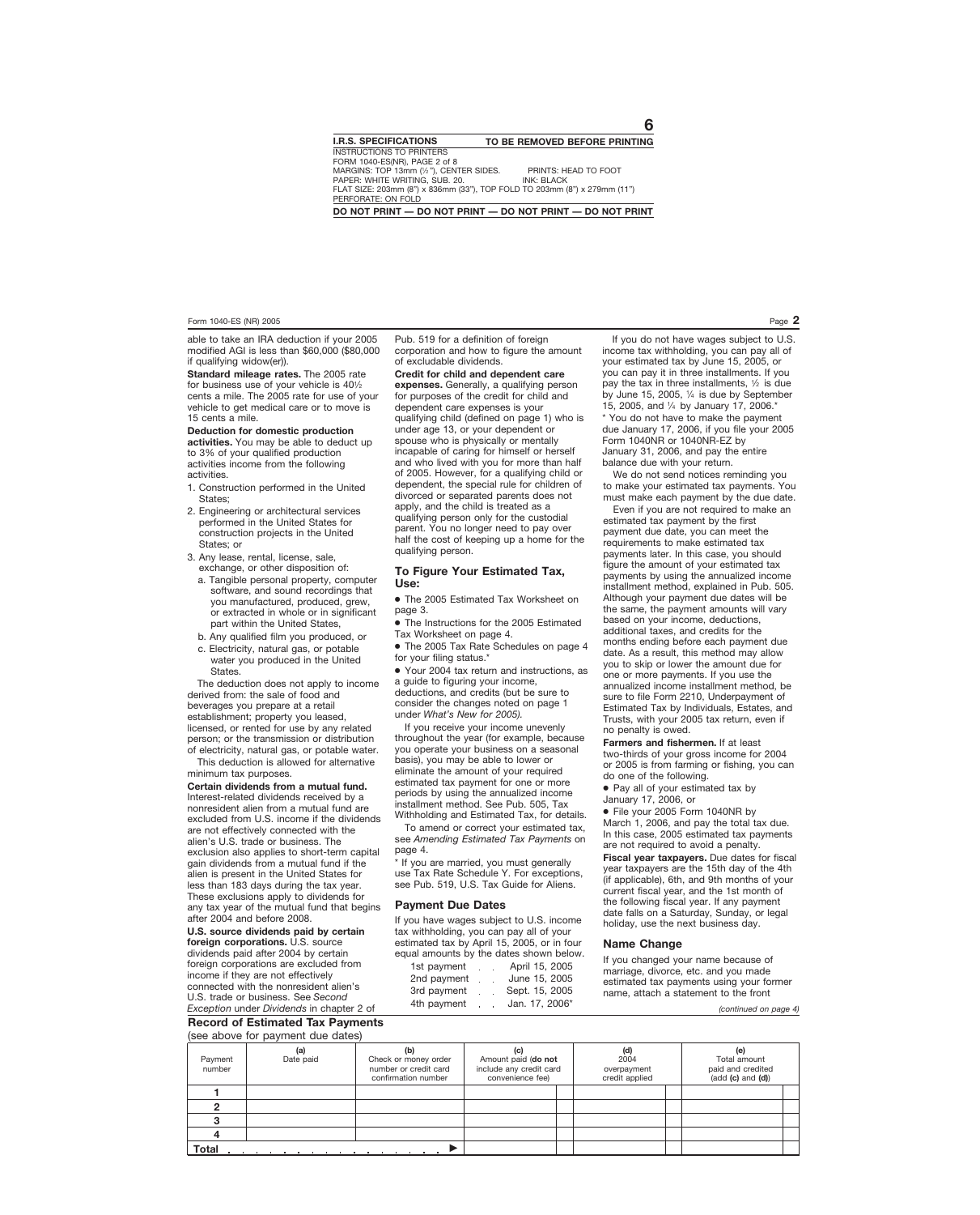able to take an IRA deduction if your 2005 modified AGI is less than \$60,000 (\$80,000 if qualifying widow(er)).

**Standard mileage rates.** The 2005 rate for business use of your vehicle is  $40\frac{1}{2}$ cents a mile. The 2005 rate for use of your vehicle to get medical care or to move is 15 cents a mile.

**Deduction for domestic production activities.** You may be able to deduct up to 3% of your qualified production activities income from the following activities.

- 1. Construction performed in the United States;
- 2. Engineering or architectural services performed in the United States for construction projects in the United States; or
- 3. Any lease, rental, license, sale, exchange, or other disposition of:
	- a. Tangible personal property, computer software, and sound recordings that you manufactured, produced, grew, or extracted in whole or in significant part within the United States,
	- b. Any qualified film you produced, or
	- c. Electricity, natural gas, or potable water you produced in the United States.

The deduction does not apply to income derived from: the sale of food and beverages you prepare at a retail establishment; property you leased, licensed, or rented for use by any related person; or the transmission or distribution of electricity, natural gas, or potable water.

This deduction is allowed for alternative minimum tax purposes.

**Certain dividends from a mutual fund.** Interest-related dividends received by a nonresident alien from a mutual fund are excluded from U.S. income if the dividends are not effectively connected with the alien's U.S. trade or business. The exclusion also applies to short-term capital gain dividends from a mutual fund if the alien is present in the United States for less than 183 days during the tax year. These exclusions apply to dividends for any tax year of the mutual fund that begins after 2004 and before 2008.

**U.S. source dividends paid by certain foreign corporations.** U.S. source dividends paid after 2004 by certain foreign corporations are excluded from income if they are not effectively connected with the nonresident alien's U.S. trade or business. See *Second Exception* under *Dividends* in chapter 2 of Pub. 519 for a definition of foreign corporation and how to figure the amount of excludable dividends.

**Credit for child and dependent care expenses.** Generally, a qualifying person for purposes of the credit for child and dependent care expenses is your qualifying child (defined on page 1) who is under age 13, or your dependent or spouse who is physically or mentally incapable of caring for himself or herself and who lived with you for more than half of 2005. However, for a qualifying child or dependent, the special rule for children of divorced or separated parents does not apply, and the child is treated as a qualifying person only for the custodial parent. You no longer need to pay over half the cost of keeping up a home for the qualifying person.

#### **To Figure Your Estimated Tax, Use:**

● The 2005 Estimated Tax Worksheet on page 3.

● The Instructions for the 2005 Estimated Tax Worksheet on page 4.

● The 2005 Tax Rate Schedules on page 4 for your filing status.\*

● Your 2004 tax return and instructions, as a guide to figuring your income, deductions, and credits (but be sure to consider the changes noted on page 1 under *What's New for 2005).*

If you receive your income unevenly throughout the year (for example, because you operate your business on a seasonal basis), you may be able to lower or eliminate the amount of your required estimated tax payment for one or more periods by using the annualized income installment method. See Pub. 505, Tax Withholding and Estimated Tax, for details.

To amend or correct your estimated tax, see *Amending Estimated Tax Payments* on page 4.

\* If you are married, you must generally use Tax Rate Schedule Y. For exceptions, see Pub. 519, U.S. Tax Guide for Aliens.

#### **Payment Due Dates**

If you have wages subject to U.S. income tax withholding, you can pay all of your estimated tax by April 15, 2005, or in four equal amounts by the dates shown below.

| 1st payment | $\mathcal{L}^{\mathcal{A}}$ | April 15, 2005 |
|-------------|-----------------------------|----------------|
| 2nd payment |                             | June 15, 2005  |
| 3rd payment |                             | Sept. 15, 2005 |
| 4th payment |                             | Jan. 17, 2006* |

If you do not have wages subject to U.S. income tax withholding, you can pay all of your estimated tax by June 15, 2005, or you can pay it in three installments. If you pay the tax in three installments,  $\frac{1}{2}$  is due by June 15, 2005,  $\frac{1}{4}$  is due by September 15, 2005, and 1⁄4 by January 17, 2006.\*

\* You do not have to make the payment due January 17, 2006, if you file your 2005 Form 1040NR or 1040NR-EZ by January 31, 2006, and pay the entire balance due with your return.

We do not send notices reminding you to make your estimated tax payments. You must make each payment by the due date.

Even if you are not required to make an estimated tax payment by the first payment due date, you can meet the requirements to make estimated tax payments later. In this case, you should figure the amount of your estimated tax payments by using the annualized income installment method, explained in Pub. 505. Although your payment due dates will be the same, the payment amounts will vary based on your income, deductions, additional taxes, and credits for the months ending before each payment due date. As a result, this method may allow you to skip or lower the amount due for one or more payments. If you use the annualized income installment method, be sure to file Form 2210, Underpayment of Estimated Tax by Individuals, Estates, and Trusts, with your 2005 tax return, even if no penalty is owed.

**Farmers and fishermen.** If at least two-thirds of your gross income for 2004 or 2005 is from farming or fishing, you can do one of the following.

● Pay all of your estimated tax by

January 17, 2006, or

● File your 2005 Form 1040NR by March 1, 2006, and pay the total tax due. In this case, 2005 estimated tax payments are not required to avoid a penalty.

**Fiscal year taxpayers.** Due dates for fiscal year taxpayers are the 15th day of the 4th (if applicable), 6th, and 9th months of your current fiscal year, and the 1st month of the following fiscal year. If any payment date falls on a Saturday, Sunday, or legal holiday, use the next business day.

#### **Name Change**

If you changed your name because of marriage, divorce, etc. and you made estimated tax payments using your former name, attach a statement to the front

*(continued on page 4)*

#### **Record of Estimated Tax Payments** (see above for payment due dates)

|                   | (See above for payment due dates) |                                                                             |                                                                           |  |                                              |  |                                                                                               |  |
|-------------------|-----------------------------------|-----------------------------------------------------------------------------|---------------------------------------------------------------------------|--|----------------------------------------------|--|-----------------------------------------------------------------------------------------------|--|
| Payment<br>number | (a)<br>Date paid                  | (b)<br>Check or money order<br>number or credit card<br>confirmation number | (c)<br>Amount paid (do not<br>include any credit card<br>convenience fee) |  | (d)<br>2004<br>overpayment<br>credit applied |  | (e)<br>Total amount<br>paid and credited<br>$(\text{add} (\text{c}) \text{ and } (\text{d}))$ |  |
|                   |                                   |                                                                             |                                                                           |  |                                              |  |                                                                                               |  |
|                   |                                   |                                                                             |                                                                           |  |                                              |  |                                                                                               |  |
|                   |                                   |                                                                             |                                                                           |  |                                              |  |                                                                                               |  |
|                   |                                   |                                                                             |                                                                           |  |                                              |  |                                                                                               |  |
| <b>Total</b>      |                                   |                                                                             |                                                                           |  |                                              |  |                                                                                               |  |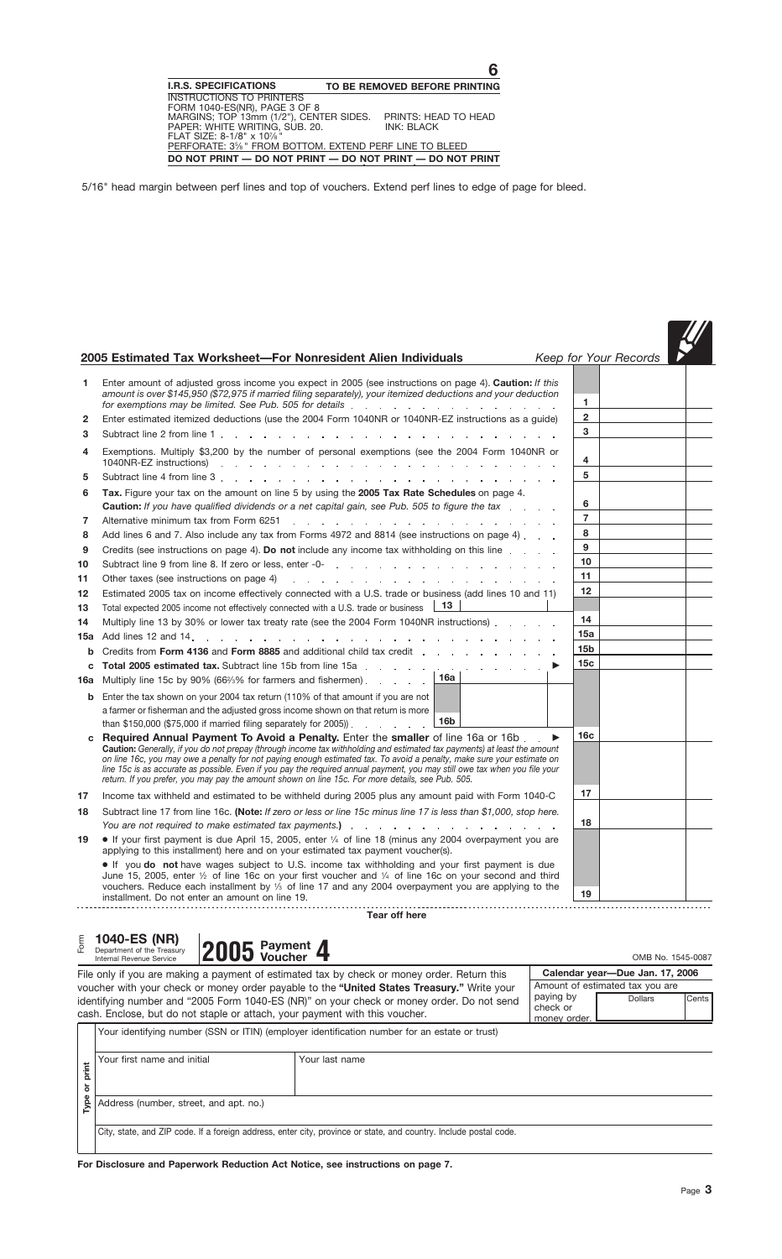|              | 2005 Estimated Tax Worksheet-For Nonresident Alien Individuals                                                                                                                                                                                                                                                                                                                                                                                                                                                                                                                 |                 | Keep for Your Records |  |
|--------------|--------------------------------------------------------------------------------------------------------------------------------------------------------------------------------------------------------------------------------------------------------------------------------------------------------------------------------------------------------------------------------------------------------------------------------------------------------------------------------------------------------------------------------------------------------------------------------|-----------------|-----------------------|--|
| 1            | Enter amount of adjusted gross income you expect in 2005 (see instructions on page 4). Caution: If this<br>amount is over \$145,950 (\$72,975 if married filing separately), your itemized deductions and your deduction<br>for exemptions may be limited. See Pub. 505 for details enterstanding to the control of the state of the state of the state of the state of the state of the state of the state of the state of the state of the state of the                                                                                                                      | 1               |                       |  |
| $\mathbf{2}$ | Enter estimated itemized deductions (use the 2004 Form 1040NR or 1040NR-EZ instructions as a guide)                                                                                                                                                                                                                                                                                                                                                                                                                                                                            | $\mathbf 2$     |                       |  |
| 3            |                                                                                                                                                                                                                                                                                                                                                                                                                                                                                                                                                                                | 3               |                       |  |
| 4            | Exemptions. Multiply \$3,200 by the number of personal exemptions (see the 2004 Form 1040NR or                                                                                                                                                                                                                                                                                                                                                                                                                                                                                 | 4               |                       |  |
| 5            |                                                                                                                                                                                                                                                                                                                                                                                                                                                                                                                                                                                | 5               |                       |  |
| 6            | Tax. Figure your tax on the amount on line 5 by using the 2005 Tax Rate Schedules on page 4.<br><b>Caution:</b> If you have qualified dividends or a net capital gain, see Pub. 505 to figure the tax                                                                                                                                                                                                                                                                                                                                                                          | 6               |                       |  |
| 7            | Alternative minimum tax from Form 6251<br>and the contract of the contract of the contract of the contract of                                                                                                                                                                                                                                                                                                                                                                                                                                                                  | $\overline{7}$  |                       |  |
| 8            | Add lines 6 and 7. Also include any tax from Forms 4972 and 8814 (see instructions on page 4).                                                                                                                                                                                                                                                                                                                                                                                                                                                                                 | 8               |                       |  |
| 9            | Credits (see instructions on page 4). Do not include any income tax withholding on this line                                                                                                                                                                                                                                                                                                                                                                                                                                                                                   | 9               |                       |  |
| 10           |                                                                                                                                                                                                                                                                                                                                                                                                                                                                                                                                                                                | 10              |                       |  |
| 11           | Other taxes (see instructions on page 4)<br>design and the state of the state of the state of the state of the state of the state of the state of the state of the state of the state of the state of the state of the state of the state of the state of the state of the                                                                                                                                                                                                                                                                                                     | 11              |                       |  |
| 12           | Estimated 2005 tax on income effectively connected with a U.S. trade or business (add lines 10 and 11)                                                                                                                                                                                                                                                                                                                                                                                                                                                                         | 12              |                       |  |
| 13           | 13<br>Total expected 2005 income not effectively connected with a U.S. trade or business                                                                                                                                                                                                                                                                                                                                                                                                                                                                                       |                 |                       |  |
| 14           | Multiply line 13 by 30% or lower tax treaty rate (see the 2004 Form 1040NR instructions)                                                                                                                                                                                                                                                                                                                                                                                                                                                                                       | 14              |                       |  |
| 15а          |                                                                                                                                                                                                                                                                                                                                                                                                                                                                                                                                                                                | 15a             |                       |  |
| b            | Credits from Form 4136 and Form 8885 and additional child tax credit external change of the state of the state of the state of the state of the state of the state of the state of the state of the state of the state of the                                                                                                                                                                                                                                                                                                                                                  | 15 <sub>b</sub> |                       |  |
|              |                                                                                                                                                                                                                                                                                                                                                                                                                                                                                                                                                                                | 15c             |                       |  |
| 16a          | 16a<br>Multiply line 15c by 90% (66%% for farmers and fishermen)                                                                                                                                                                                                                                                                                                                                                                                                                                                                                                               |                 |                       |  |
| b            | Enter the tax shown on your 2004 tax return (110% of that amount if you are not<br>a farmer or fisherman and the adjusted gross income shown on that return is more<br>16b<br>than \$150,000 (\$75,000 if married filing separately for 2005)) $\therefore$                                                                                                                                                                                                                                                                                                                    |                 |                       |  |
| c            | Required Annual Payment To Avoid a Penalty. Enter the smaller of line 16a or 16b.<br>▶<br>Caution: Generally, if you do not prepay (through income tax withholding and estimated tax payments) at least the amount<br>on line 16c, you may owe a penalty for not paying enough estimated tax. To avoid a penalty, make sure your estimate on<br>line 15c is as accurate as possible. Even if you pay the required annual payment, you may still owe tax when you file your<br>return. If you prefer, you may pay the amount shown on line 15c. For more details, see Pub. 505. | 16c             |                       |  |
| 17           | Income tax withheld and estimated to be withheld during 2005 plus any amount paid with Form 1040-C                                                                                                                                                                                                                                                                                                                                                                                                                                                                             | 17              |                       |  |
| 18           | Subtract line 17 from line 16c. (Note: If zero or less or line 15c minus line 17 is less than \$1,000, stop here.                                                                                                                                                                                                                                                                                                                                                                                                                                                              |                 |                       |  |
|              |                                                                                                                                                                                                                                                                                                                                                                                                                                                                                                                                                                                | 18              |                       |  |
| 19           | • If your first payment is due April 15, 2005, enter 1/4 of line 18 (minus any 2004 overpayment you are<br>applying to this installment) here and on your estimated tax payment voucher(s).                                                                                                                                                                                                                                                                                                                                                                                    |                 |                       |  |
|              | • If you do not have wages subject to U.S. income tax withholding and your first payment is due<br>June 15, 2005, enter $\frac{1}{2}$ of line 16c on your first voucher and $\frac{1}{4}$ of line 16c on your second and third<br>vouchers. Reduce each installment by $\frac{1}{3}$ of line 17 and any 2004 overpayment you are applying to the<br>installment. Do not enter an amount on line 19.                                                                                                                                                                            | 19              |                       |  |
|              | Tear off here                                                                                                                                                                                                                                                                                                                                                                                                                                                                                                                                                                  |                 |                       |  |

# **2007 2006 Payment of the Treasury <b>2005** Payment **4** Onepartment of the Treasury **4** OMB No. 1545-0087 **Payment 4** OMB No. 1545-0087

**III** 

| File only if you are making a payment of estimated tax by check or money order. Return this |                       | Calendar year-Due Jan. 17, 2006 |         |
|---------------------------------------------------------------------------------------------|-----------------------|---------------------------------|---------|
| voucher with your check or money order payable to the "United States Treasury." Write your  |                       | Amount of estimated tax you are |         |
| identifying number and "2005 Form 1040-ES (NR)" on your check or money order. Do not send   | paying by<br>check or | <b>Dollars</b>                  | Cents I |
| cash. Enclose, but do not staple or attach, your payment with this voucher.                 | money order.          |                                 |         |

| Form       | 1040-ES (NR)<br>Department of the Treasury<br>Internal Revenue Service | $ 2005 $ Payment 4 |                                                                                                                                                                                                                                                                                                                                                                                |                                       |                                                                                      | OMB No. 1545-0087 |
|------------|------------------------------------------------------------------------|--------------------|--------------------------------------------------------------------------------------------------------------------------------------------------------------------------------------------------------------------------------------------------------------------------------------------------------------------------------------------------------------------------------|---------------------------------------|--------------------------------------------------------------------------------------|-------------------|
|            |                                                                        |                    | File only if you are making a payment of estimated tax by check or money order. Return this<br>voucher with your check or money order payable to the " <b>United States Treasury.</b> " Write your<br>identifying number and "2005 Form 1040-ES (NR)" on your check or money order. Do not send<br>cash. Enclose, but do not staple or attach, your payment with this voucher. | paying by<br>check or<br>money order. | Calendar year-Due Jan. 17, 2006<br>Amount of estimated tax you are<br><b>Dollars</b> | Cents             |
| print<br>৯ | Your first name and initial                                            |                    | Your identifying number (SSN or ITIN) (employer identification number for an estate or trust)<br>Your last name                                                                                                                                                                                                                                                                |                                       |                                                                                      |                   |
| Type       | Address (number, street, and apt. no.)                                 |                    | City, state, and ZIP code. If a foreign address, enter city, province or state, and country. Include postal code.                                                                                                                                                                                                                                                              |                                       |                                                                                      |                   |
|            |                                                                        |                    | For Disclosure and Paperwork Reduction Act Notice, see instructions on page 7.                                                                                                                                                                                                                                                                                                 |                                       |                                                                                      |                   |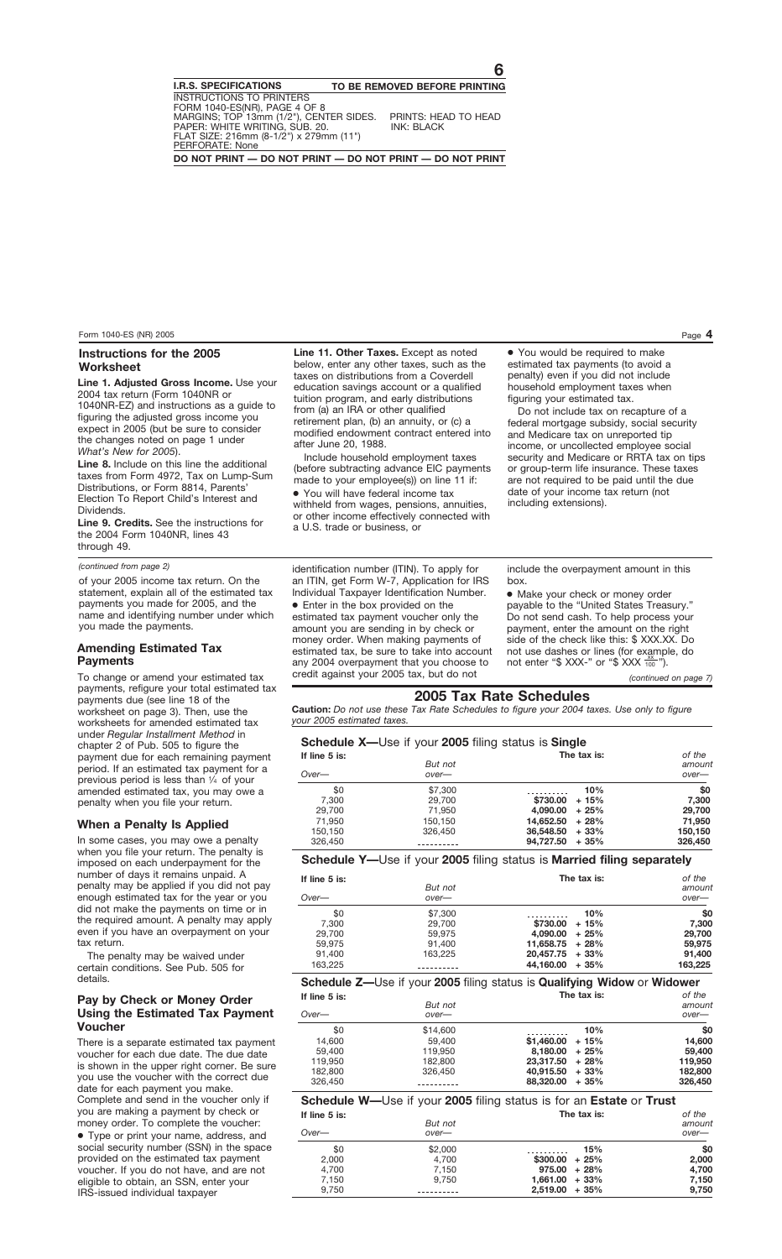#### **Instructions for the 2005 Worksheet**

**Line 1. Adjusted Gross Income.** Use your 2004 tax return (Form 1040NR or 1040NR-EZ) and instructions as a guide to figuring the adjusted gross income you expect in 2005 (but be sure to consider the changes noted on page 1 under *What's New for 2005*).

**Line 8.** Include on this line the additional taxes from Form 4972, Tax on Lump-Sum Distributions, or Form 8814, Parents' Election To Report Child's Interest and Dividends.

**Line 9. Credits.** See the instructions for the 2004 Form 1040NR, lines 43 through 49.

#### *(continued from page 2)*

of your 2005 income tax return. On the statement, explain all of the estimated tax payments you made for 2005, and the name and identifying number under which you made the payments.

#### **Amending Estimated Tax Payments**

To change or amend your estimated tax payments, refigure your total estimated tax payments due (see line 18 of the worksheet on page 3). Then, use the worksheets for amended estimated tax under *Regular Installment Method* in chapter 2 of Pub. 505 to figure the payment due for each remaining payment period. If an estimated tax payment for a previous period is less than 1⁄4 of your amended estimated tax, you may owe a penalty when you file your return.

#### **When a Penalty Is Applied**

In some cases, you may owe a penalty when you file your return. The penalty is imposed on each underpayment for the number of days it remains unpaid. A penalty may be applied if you did not pay enough estimated tax for the year or you did not make the payments on time or in the required amount. A penalty may apply even if you have an overpayment on your tax return.

The penalty may be waived under certain conditions. See Pub. 505 for details.

#### **Pay by Check or Money Order Using the Estimated Tax Payment Voucher**

There is a separate estimated tax payment voucher for each due date. The due date is shown in the upper right corner. Be sure you use the voucher with the correct due date for each payment you make. Complete and send in the voucher only if you are making a payment by check or money order. To complete the voucher:

● Type or print your name, address, and social security number (SSN) in the space provided on the estimated tax payment voucher. If you do not have, and are not eligible to obtain, an SSN, enter your IRS-issued individual taxpayer

**Line 11. Other Taxes.** Except as noted below, enter any other taxes, such as the taxes on distributions from a Coverdell education savings account or a qualified tuition program, and early distributions from (a) an IRA or other qualified retirement plan, (b) an annuity, or (c) a modified endowment contract entered into after June 20, 1988.

Include household employment taxes (before subtracting advance EIC payments made to your employee(s)) on line 11 if:

● You will have federal income tax withheld from wages, pensions, annuities, or other income effectively connected with a U.S. trade or business, or

identification number (ITIN). To apply for an ITIN, get Form W-7, Application for IRS Individual Taxpayer Identification Number. ● Enter in the box provided on the estimated tax payment voucher only the amount you are sending in by check or money order. When making payments of estimated tax, be sure to take into account any 2004 overpayment that you choose to credit against your 2005 tax, but do not

● You would be required to make estimated tax payments (to avoid a penalty) even if you did not include household employment taxes when figuring your estimated tax.

Do not include tax on recapture of a federal mortgage subsidy, social security and Medicare tax on unreported tip income, or uncollected employee social security and Medicare or RRTA tax on tips or group-term life insurance. These taxes are not required to be paid until the due date of your income tax return (not including extensions).

include the overpayment amount in this box.

● Make your check or money order payable to the "United States Treasury." Do not send cash. To help process your payment, enter the amount on the right side of the check like this: \$ XXX.XX. Do not use dashes or lines (for example, do not enter "\$ XXX-" or "\$ XXX  $\frac{xx}{100}$ ").

*(continued on page 7)*

### **2005 Tax Rate Schedules**

**Caution:** *Do not use these Tax Rate Schedules to figure your 2004 taxes. Use only to figure your 2005 estimated taxes.*

#### **Schedule X—**Use if your **2005** filing status is **Single**

| If line 5 is:<br>$Over-$ | But not<br>$over-$ | $\overline{\phantom{0}}$ | The tax is: | of the<br>amount<br>over- |
|--------------------------|--------------------|--------------------------|-------------|---------------------------|
| \$0                      | \$7,300            |                          | 10%         | \$0                       |
| 7.300                    | 29.700             | \$730.00                 | $+15%$      | 7.300                     |
| 29.700                   | 71.950             | 4.090.00                 | $+25%$      | 29.700                    |
| 71.950                   | 150.150            | 14.652.50                | $+28%$      | 71.950                    |
| 150.150                  | 326,450            | 36,548,50                | $+33%$      | 150.150                   |
| 326,450                  |                    | 94.727.50                | $+35%$      | 326,450                   |

#### **Schedule Y—**Use if your **2005** filing status is **Married filing separately**

| If line $5$ is:<br>$Over-$       | But not<br>$over-$                    | The tax is:                                                          | of the<br>amount<br>over-        |
|----------------------------------|---------------------------------------|----------------------------------------------------------------------|----------------------------------|
| \$0<br>7.300<br>29,700<br>59.975 | \$7,300<br>29,700<br>59.975<br>91.400 | 10%<br>\$730.00<br>$+15%$<br>4.090.00<br>$+25%$<br>$11,658.75 + 28%$ | \$0<br>7,300<br>29.700<br>59,975 |
| 91.400<br>163.225                | 163.225                               | $20.457.75 + 33\%$<br>44.160.00<br>$+35%$                            | 91.400<br>163,225                |

#### **Schedule Z—**Use if your **2005** filing status is **Qualifying Widow** or **Widower**

| If line 5 is: |          | The tax is:         | of the  |  |
|---------------|----------|---------------------|---------|--|
|               | But not  |                     | amount  |  |
| $Over-$       | $over-$  |                     | $over-$ |  |
| \$0           | \$14,600 | 10%                 | \$0     |  |
| 14.600        | 59,400   | $$1.460.00 + 15\%$  | 14,600  |  |
| 59,400        | 119.950  | 8.180.00<br>$+25%$  | 59,400  |  |
| 119.950       | 182,800  | 23.317.50<br>+ 28%  | 119,950 |  |
| 182.800       | 326,450  | 40.915.50<br>$+33%$ | 182,800 |  |
| 326,450       |          | 88,320,00<br>$+35%$ | 326,450 |  |

#### **Schedule W—**Use if your **2005** filing status is for an **Estate** or **Trust**

| If line $5$ is: |                    | The tax is:       | of the            |
|-----------------|--------------------|-------------------|-------------------|
| $Over-$         | But not<br>$over-$ |                   | amount<br>$over-$ |
| \$0             | \$2,000            | 15%               | \$0               |
| 2,000           | 4,700              | $$300.00 + 25\%$  | 2.000             |
| 4.700           | 7.150              | $975.00 + 28\%$   | 4.700             |
| 7.150           | 9.750              | $1,661.00 + 33\%$ | 7,150             |
| 9.750           |                    | $2,519.00 + 35\%$ | 9,750             |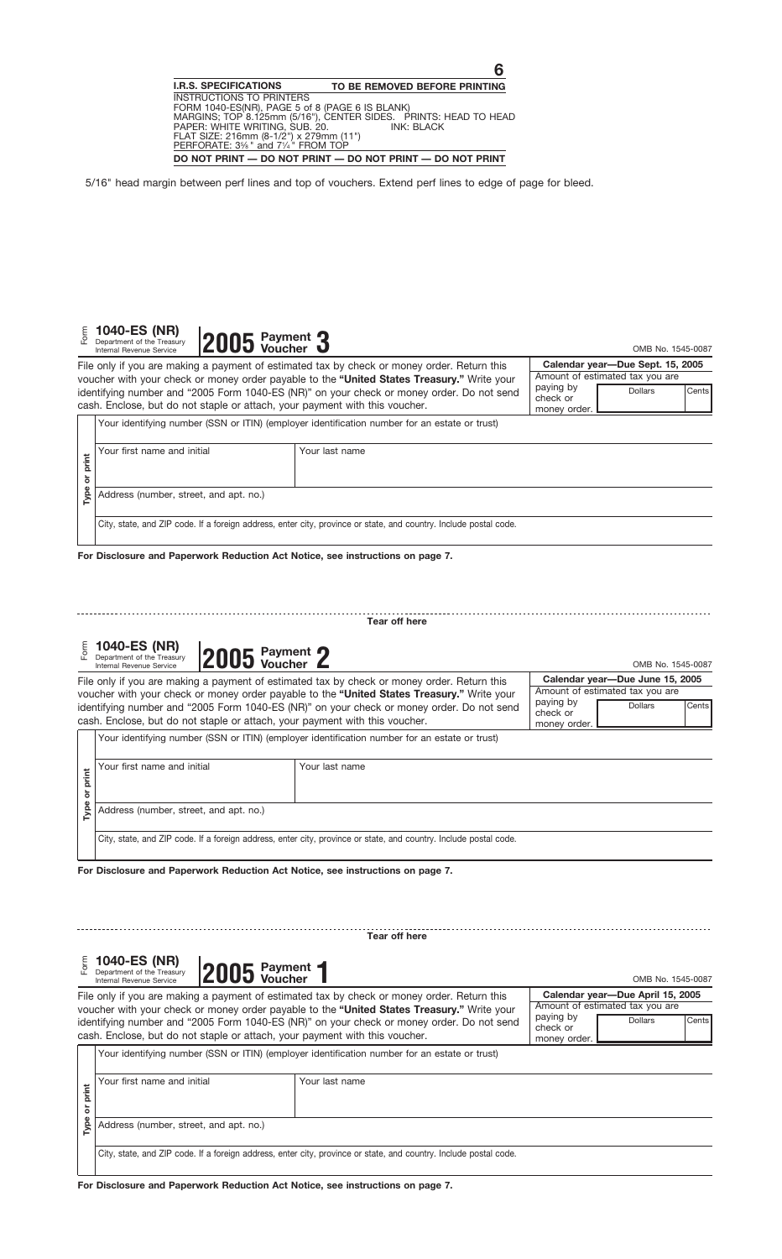|               | Calendar year-Due Sept. 15, 2005<br>File only if you are making a payment of estimated tax by check or money order. Return this<br>Amount of estimated tax you are |                                                                                                                                                                                         |                                       |                                  |       |  |
|---------------|--------------------------------------------------------------------------------------------------------------------------------------------------------------------|-----------------------------------------------------------------------------------------------------------------------------------------------------------------------------------------|---------------------------------------|----------------------------------|-------|--|
|               | cash. Enclose, but do not staple or attach, your payment with this voucher.                                                                                        | voucher with your check or money order payable to the "United States Treasury." Write your<br>identifying number and "2005 Form 1040-ES (NR)" on your check or money order. Do not send | paying by<br>check or<br>money order. | <b>Dollars</b>                   | Cents |  |
|               |                                                                                                                                                                    | Your identifying number (SSN or ITIN) (employer identification number for an estate or trust)                                                                                           |                                       |                                  |       |  |
| Type or print | Your first name and initial                                                                                                                                        | Your last name                                                                                                                                                                          |                                       |                                  |       |  |
|               | Address (number, street, and apt. no.)                                                                                                                             |                                                                                                                                                                                         |                                       |                                  |       |  |
|               |                                                                                                                                                                    | City, state, and ZIP code. If a foreign address, enter city, province or state, and country. Include postal code.                                                                       |                                       |                                  |       |  |
|               | For Disclosure and Paperwork Reduction Act Notice, see instructions on page 7.                                                                                     |                                                                                                                                                                                         |                                       |                                  |       |  |
|               |                                                                                                                                                                    |                                                                                                                                                                                         |                                       |                                  |       |  |
|               |                                                                                                                                                                    | Tear off here                                                                                                                                                                           |                                       |                                  |       |  |
| Form          | 1040-ES (NR)<br>2005 Payment 2<br>Department of the Treasury                                                                                                       |                                                                                                                                                                                         |                                       | OMB No. 1545-0087                |       |  |
|               | Internal Revenue Service                                                                                                                                           | File only if you are making a payment of estimated tax by check or money order. Return this                                                                                             |                                       | Calendar year-Due June 15, 2005  |       |  |
|               |                                                                                                                                                                    | voucher with your check or money order payable to the "United States Treasury." Write your                                                                                              |                                       | Amount of estimated tax you are  |       |  |
|               | cash. Enclose, but do not staple or attach, your payment with this voucher.                                                                                        | identifying number and "2005 Form 1040-ES (NR)" on your check or money order. Do not send                                                                                               | paying by<br>check or<br>money order. | <b>Dollars</b>                   | Cents |  |
|               |                                                                                                                                                                    | Your identifying number (SSN or ITIN) (employer identification number for an estate or trust)                                                                                           |                                       |                                  |       |  |
| or print      | Your first name and initial                                                                                                                                        | Your last name                                                                                                                                                                          |                                       |                                  |       |  |
| Type          | Address (number, street, and apt. no.)                                                                                                                             |                                                                                                                                                                                         |                                       |                                  |       |  |
|               |                                                                                                                                                                    | City, state, and ZIP code. If a foreign address, enter city, province or state, and country. Include postal code.                                                                       |                                       |                                  |       |  |
|               | For Disclosure and Paperwork Reduction Act Notice, see instructions on page 7.                                                                                     |                                                                                                                                                                                         |                                       |                                  |       |  |
|               |                                                                                                                                                                    |                                                                                                                                                                                         |                                       |                                  |       |  |
|               |                                                                                                                                                                    | Tear off here                                                                                                                                                                           |                                       |                                  |       |  |
|               |                                                                                                                                                                    |                                                                                                                                                                                         |                                       |                                  |       |  |
|               | 1040-ES (NR)<br>2005 Payment 1<br>Department of the Treasury<br>Internal Revenue Service                                                                           |                                                                                                                                                                                         |                                       | OMB No. 1545-0087                |       |  |
|               |                                                                                                                                                                    | File only if you are making a payment of estimated tax by check or money order. Return this                                                                                             |                                       | Calendar year-Due April 15, 2005 |       |  |
|               |                                                                                                                                                                    | voucher with your check or money order payable to the "United States Treasury." Write your                                                                                              | paying by                             | Amount of estimated tax you are  |       |  |
|               | cash. Enclose, but do not staple or attach, your payment with this voucher.                                                                                        | identifying number and "2005 Form 1040-ES (NR)" on your check or money order. Do not send                                                                                               | check or<br>money order.              | <b>Dollars</b>                   | Cents |  |
|               |                                                                                                                                                                    | Your identifying number (SSN or ITIN) (employer identification number for an estate or trust)                                                                                           |                                       |                                  |       |  |

|                                                                                                                   | Your first name and initial            | Your last name |  |
|-------------------------------------------------------------------------------------------------------------------|----------------------------------------|----------------|--|
|                                                                                                                   | Address (number, street, and apt. no.) |                |  |
| City, state, and ZIP code. If a foreign address, enter city, province or state, and country. Include postal code. |                                        |                |  |

**2005** Payment 3

E **1040-ES (NR) PANE** Payment

**VOUCH OF CONSUMPTION CONSUMPTION**<br>
Department of the Treasury **2005** Voucher **3** OMB No. 1545-0087